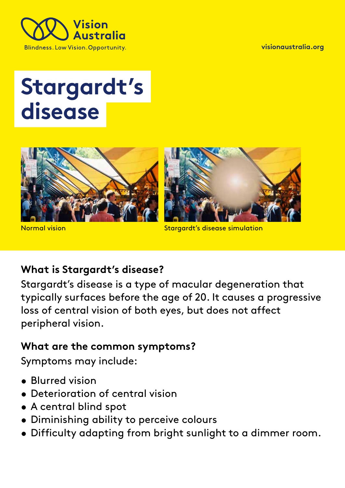

**[visionaustralia.org](http://www.visionaustralia.org/)** 

# **Stargardt's disease**





Normal vision Stargardt's disease simulation

## **What is Stargardt's disease?**

Stargardt's disease is a type of macular degeneration that typically surfaces before the age of 20. It causes a progressive loss of central vision of both eyes, but does not affect peripheral vision.

#### **What are the common symptoms?**

Symptoms may include:

- Blurred vision
- Deterioration of central vision
- A central blind spot
- Diminishing ability to perceive colours
- Difficulty adapting from bright sunlight to a dimmer room.